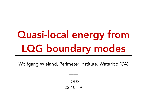# Quasi-local energy from LQG boundary modes

Wolfgang Wieland, Perimeter Institute, Waterloo (CA)

ILQGS 22-10–19

——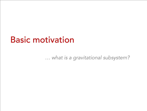### Basic motivation

 *… what is a gravitational subsystem?*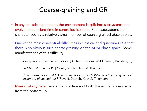#### Coarse-graining and GR

- In any realistic experiment, the environment is split into subsystems that evolve for sufficient time in controlled isolation. Such subsystems are characterised by a relatively small number of coarse grained observables.
- One of the main conceptual difficulties in classical and quantum GR is that there is no obvious such coarse graining on the ADM phase space. Some manifestations of this difficulty:
	- *Averaging problem in cosmology* [Buchert, Carfora, Wald, Green, Wiltshire,…].
	- *Problem of time in QG* [Rovelli, Smolin, Kuchař, Thiemann,…].
	- *How to effectively build Dirac observables for GR? What is a thermodynamical ensemble of spacetimes?* [Rovelli, Dittrich, Kuchař, Thiemann,…].
- Main strategy here: revers the problem and build the entire phase space from the bottom up.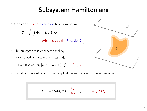#### Subsystem Hamiltonians

• Consider a system coupled to its environment.

$$
S = \int \Big[ P \mathrm{d}Q - H_E^o[P,Q] +
$$
  
+  $p \mathrm{d}q - H_S^o[p,q] - V[p,q|P,Q] \Big].$ 

- The subsystem is characterised by
	- symplectic structure  $\Omega_S = \mathrm{d}p \wedge \mathrm{d}q$ .
	- Hamiltonian  $H_S[p,q|J] = H_S^o[p,q] + V[p,q|J].$
- Hamilton's equations contain explicit dependence on the environment.

$$
\delta[H_S] = \Omega_S(\delta, \partial_t) + \frac{\delta V}{\partial J} \delta J, \qquad J = (P, Q).
$$

 $E$ 

 $S$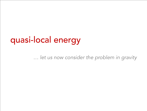### quasi-local energy

 *… let us now consider the problem in gravity*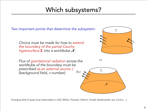#### Which subsystems?

Two important points that determine the subsystem:

- *Choice must be made for how to extend the boundary of the partial Cauchy*   $h$ ypersurface  $\Sigma$  into a worldtube  $\mathcal{N}.$
- *- Flux of gravitational radiation across the worldtube of the boundary must be prescribed as an external source J (background field, c-number).*



 $\mathit{US.}$ 



Emerging field of quasi-local observables in LQG: [Riello, Pranzetti, Dittrich, Freidel, Bodendorfer, ww, Corichi,…]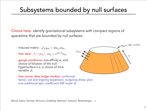#### Subsystems bounded by null surfaces

Choice here: identify gravitational subsystems with compact regions of spacetime that are bounded by null surfaces.



one additional spin coefficient (NP scalar  $\tau$ ).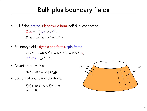#### Bulk plus boundary fields

• Bulk fields: tetrad, Plebański 2-form, self-dual connection,

$$
\Sigma_{AB} = -\frac{1}{2} e_{AC'} \wedge e_B{}^{C'},
$$
  

$$
F^A{}_B = dA^A{}_B + A^A{}_C \wedge A^C{}_B.
$$

• Boundary fields: dyadic one-forms, spin frame,

$$
\varphi^*_{\mathcal{N}} e^{AA'} = -i\ell^A \bar{\ell}^{A'} du + i k^A \bar{\ell}^{A'} m + i\ell^A \bar{k}^{A'} \bar{m},
$$
  

$$
(k^A, \ell^A) : k_A \ell^A = 1.
$$

• Covariant derivative:

 $D\ell^A = d\ell^A + \varphi^*_{\mathcal{N}}[A^A{}_B]\ell^B.$ 

• Conformal boundary conditions:

$$
\delta[m] \propto m \Leftrightarrow m \wedge \delta[m] = 0,
$$
  

$$
\delta[u] = 0.
$$

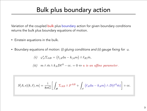#### Bulk plus boundary action

Variation of the coupled bulk plus boundary action for given boundary conditions returns the bulk plus boundary equations of motion.

- Einstein equations in the bulk.
- Boundary equations of motion: *(i) gluing conditions and (ii) gauge fixing for u.*

$$
(i) \quad \varphi_{\mathcal{N}}^* \Sigma_{AB} = (\ell_{(A} du - k_{(A} m) \wedge \ell_B) \bar{m},
$$

(*ii*) 
$$
m \wedge \bar{m} \wedge k_A D\ell^A - \text{cc.} = 0 \Leftrightarrow u
$$
 is an affine parameter.

$$
S[A, e](k, \ell), m] = \frac{i}{8\pi G} \bigg[ \int_{\mathcal{M}} \Sigma_{AB} \wedge F^{AB} + \int_{\mathcal{N}} (\ell_A \mathrm{d}u - k_A m) \wedge D(\ell^A \bar{m}) \bigg] + \text{cc}.
$$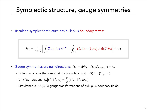#### Symplectic structure, gauge symmetries

• Resulting symplectic structure has bulk plus boundary terms:

$$
\Theta_{\Sigma} = \frac{\mathrm{i}}{8\pi G} \bigg[ \int_{\Sigma} \Sigma_{AB} \wedge \mathbb{d}A^{AB} - \oint_{\partial \Sigma} (\ell_A \mathbf{d}u - k_A m) \wedge \mathbb{d}(\ell^A \bar{m}) \bigg] + \mathrm{cc}.
$$

- Gauge symmetries are null directions:  $\Omega_{\Sigma} = d\Theta_{\Sigma} : \Omega_{\Sigma}(\delta_{\text{gauge}}, \cdot) = 0.$ 
	- Diffeomorphisms that vanish at the boundary  $\delta_{\xi}[\cdot] = \mathscr{L}_{\xi}[\cdot] : \xi^a|_{\mathcal{N}} = 0.$
	- U(1) flag rotations  $\delta_{\phi}\big[\ell^A,k^A,m\big] = \frac{\phi}{2i} \big[\ell^A,-k^A,2m_a\big].$
	- Simultaneous  $SL(2,\mathbb{C})$  gauge transformations of bulk plus boundary fields.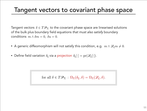#### Tangent vectors to covariant phase space

Tangent vectors  $\delta \in T\mathcal{P}_{\Sigma}$  to the covariant phase space are linearised solutions of the bulk plus boundary field equations *that must also satisfy* boundary conditions  $m \wedge \delta m = 0$ ,  $\delta u = 0$ .

- A generic diffeomorphism will not satisfy this condition, e.g.  $m \wedge \mathscr{L}_{\varepsilon} m \neq 0$ .
- Define field variation  $\delta_{\xi}$  via a projection  $\delta_{\xi}[\cdot] = \text{pr}(\mathscr{L}_{\xi}[\cdot]).$

for all  $\delta \in T\mathscr{P}_{\Sigma} : \Omega_{\Sigma}(\delta_{\xi}, \delta) = \Omega_{\Sigma}(\mathscr{L}_{\xi}, \delta).$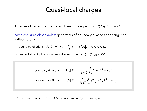#### Quasi-local charges

- Charges obtained by integrating Hamilton's equations  $\Omega(X_O, \delta) = -\delta[O].$
- Simplest Dirac observables: generators of boundary dilations and tangential diffeomorphisms.
	- boundary dilations:  $\delta_{\lambda}[\ell^A,k^A,m] = \frac{\lambda}{2} [\ell^A,-k^A,0], \quad m \wedge \bar{m} \wedge d\lambda = 0.$
	- tangential bulk plus boundary diffeomorphisms:  $\xi^a : \xi^a|_{\partial \Sigma} \in T\Sigma$ .

boundary dilations 
$$
K_{\lambda}[\mathscr{C}] = \frac{i}{16\pi G} \oint_{\mathscr{C}} \lambda(\eta_A \ell^A - \text{cc.}),
$$
  
tangential diffeos 
$$
J_{\xi}[\mathscr{C}] = \frac{i}{8\pi G} \oint_{\mathscr{C}} \xi^a (\eta_A D_a \ell^A - \text{cc.}).
$$

\*where we introduced the abbreviation  $\eta_A = (\ell_A du - k_A m) \wedge \bar{m}$ .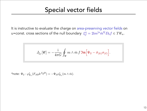It is instructive to evaluate the charge on area-preserving vector fields on  $\mathcal{L}^a = 2\mathrm{i} m^{[a}\bar{m}^b]D_bf \in T\mathscr{C}_u.$  The set of the null boundary  $\mathcal{E}_f^a = 2\mathrm{i} m^{[a}\bar{m}^b]D_bf \in T\mathscr{C}_u.$ 

$$
J_{\xi_f}[\mathscr{C}] = -\frac{\mathrm{i}}{4\pi G} \oint_{\mathscr{C}} m \wedge \bar{m} f \mathfrak{Im} \Big[ \Psi_2 - \bar{\sigma}_{(k)} \sigma_{(\ell)} \Big].
$$

\*note:  $\Psi_2$ :  $\varphi_{\mathscr{C}_u}^* (F_{AB} k^A \ell^B) = -\Psi_2 \varphi_{\mathscr{C}_u}^* (m \wedge \bar{m}).$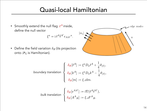#### Quasi-local Hamiltonian

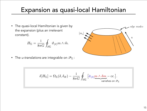#### Expansion as quasi-local Hamiltonian

- The quasi-local Hamiltonian is given by edge modes the expansion (plus an irrelevant  $[$  $m_a$ ] constant).  $\overline{u}$  $H_{\Sigma} = \frac{\mathrm{i}}{8\pi G} \oint_{\partial \Sigma} \vartheta_{(\ell)} m \wedge \bar{m}.$
- The *u-translations* are integrable on  $\mathscr{P}_{\Sigma}$ :

$$
\delta[H_{\Sigma}]=\Omega_{\Sigma}(\delta,\delta_H)-\frac{\mathrm{i}}{8\pi G}\oint_{\partial\Sigma}\big[\bar{\sigma}_{(\ell)}\underline{m\wedge\delta m-\mathrm{cc.}\big]}.
$$
 vanishes on  $\mathscr{P}_{\Sigma}$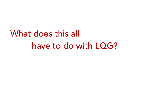## What does this all have to do with LQG?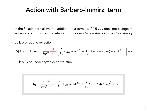#### Action with Barbero-Immirzi term

- In the Palatini formalism, the addition of a term  $\frac{1}{\gamma} \varepsilon^{abcd} R_{abcd}$  does not change the equations of motion in the interior. *But it does change the boundary field theory.*
- Bulk plus boundary action

$$
S[A,e](k,\ell),m] = \frac{i}{8\pi G} \frac{\gamma + i}{\gamma} \left[ \int_{\mathcal{M}} \Sigma_{AB} \wedge F^{AB} + \int_{\mathcal{N}} (\ell_A \mathrm{d}u - k_A m) \wedge D(\ell^A \bar{m}) \right] + \text{cc}.
$$

• Bulk plus boundary symplectic structure

$$
\Theta_{\Sigma} = \frac{\mathrm{i}}{8\pi G} \frac{\gamma + \mathrm{i}}{\gamma} \Big[ \int_{\Sigma} \Sigma_{AB} \wedge \mathrm{d}A^{AB} + \oint_{\mathscr{C}} k_A m \wedge \mathrm{d}(\ell^A \bar{m}) \Big] + \mathrm{cc}.
$$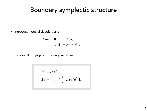#### Boundary symplectic structure

• Introduce fiducial dyadic basis:

$$
m \wedge \delta m = 0 : m = e^{\omega} m_o,
$$
  

$$
d^2 \Omega_o = \mathrm{i} m_o \wedge \bar{m}_o
$$

• Canonical conjugate boundary variables:

$$
\tilde{\ell}^A = e^{\bar{\omega}} \ell^A,
$$
  

$$
\tilde{\pi}_A = \frac{1}{8\pi G} \frac{\gamma + i}{\gamma} k_A e^{\omega} d^2 \Omega_o.
$$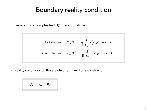#### Boundary reality condition

• Generators of complexified U(1) transformations

null dilatations 
$$
K_{\lambda}[\mathscr{C}] = \frac{1}{2} \oint_{\mathscr{C}} \lambda(\tilde{\pi}_{A}\tilde{\ell}^{A} + \text{cc.}),
$$
  
U(1) flag rotations 
$$
L_{\phi}[\mathscr{C}] = \frac{1}{2i} \oint_{\mathscr{C}} \phi(\tilde{\pi}_{A}\tilde{\ell}^{A} - \text{cc.}).
$$

• Reality conditions on the area two-form implies a constraint:

$$
K-\gamma L=0.
$$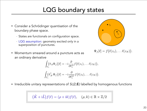#### LQG boundary states

- Consider a Schrödinger quantisation of the boundary phase space.
	- States are functionals on configuration space.
	- LQG assumption: geometry excited only in a superposition of punctures.
- Momentum smeared around a puncture acts as an ordinary derivative

$$
\int_{U_i} (\hat{\pi}_A \Psi_f) [\ell] = -i \frac{\partial}{\partial \ell_i^A} f(\ell(z_1), \dots \ell(z_N)),
$$
  

$$
\int_{U_i} (\hat{\pi}_A^{\dagger} \Psi_f) [\ell] = -i \frac{\partial}{\partial \bar{\ell}_i^A} f(\ell(z_1), \dots \ell(z_N)).
$$



$$
(\hat{K} + i\hat{L})f(\ell) = (\rho + ik)f(\ell), \quad (\rho, k) \in \mathbb{R} \times \mathbb{Z}/2
$$



$$
\Psi_f[\ell] = f(\ell(z_1), \ldots \ell(z_N)).
$$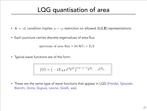#### LQG quantisation of area

- $K = \gamma L$  condition implies  $\rho = \gamma j$  restriction on allowed *SL(2,*C) representations.
- Each puncture carries discrete eigenvalues of area-flux:

spectrum of area flux =  $8\pi \hbar G \gamma \times \mathbb{Z}/2$ .

• Typical wave functions are of the form:

$$
f(\ell) = \big(-\mathrm{i} X_{AA'} \ell^A \bar \ell^{A'}\big)^{\mathrm{i}\gamma j - j - 1} \bar \ell^{A'_1} \dots \bar \ell^{A'_{2j}}.
$$

• These are the same type of wave functions that appear in LQG [Freidel, Speziale, Bianchi, Donà, Dupuis, Levine, Girelli, ww].